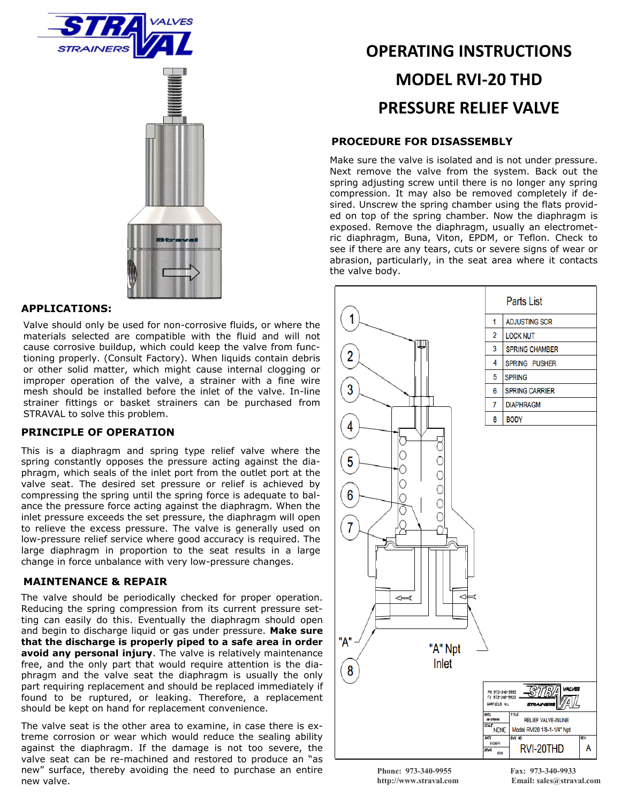



## **APPLICATIONS:**

Valve should only be used for non-corrosive fluids, or where the materials selected are compatible with the fluid and will not cause corrosive buildup, which could keep the valve from functioning properly. (Consult Factory). When liquids contain debris or other solid matter, which might cause internal clogging or improper operation of the valve, a strainer with a fine wire mesh should be installed before the inlet of the valve. In-line strainer fittings or basket strainers can be purchased from STRAVAL to solve this problem.

## **PRINCIPLE OF OPERATION**

This is a diaphragm and spring type relief valve where the spring constantly opposes the pressure acting against the diaphragm, which seals of the inlet port from the outlet port at the valve seat. The desired set pressure or relief is achieved by compressing the spring until the spring force is adequate to balance the pressure force acting against the diaphragm. When the inlet pressure exceeds the set pressure, the diaphragm will open to relieve the excess pressure. The valve is generally used on low-pressure relief service where good accuracy is required. The large diaphragm in proportion to the seat results in a large change in force unbalance with very low-pressure changes.

### **MAINTENANCE & REPAIR**

The valve should be periodically checked for proper operation. Reducing the spring compression from its current pressure setting can easily do this. Eventually the diaphragm should open and begin to discharge liquid or gas under pressure. **Make sure that the discharge is properly piped to a safe area in order avoid any personal injury**. The valve is relatively maintenance free, and the only part that would require attention is the diaphragm and the valve seat the diaphragm is usually the only part requiring replacement and should be replaced immediately if found to be ruptured, or leaking. Therefore, a replacement should be kept on hand for replacement convenience.

The valve seat is the other area to examine, in case there is extreme corrosion or wear which would reduce the sealing ability against the diaphragm. If the damage is not too severe, the valve seat can be re-machined and restored to produce an "as new" surface, thereby avoiding the need to purchase an entire new valve.

# **OPERATING INSTRUCTIONS MODEL RVI-20 THD PRESSURE RELIEF VALVE**

### **PROCEDURE FOR DISASSEMBLY**

Make sure the valve is isolated and is not under pressure. Next remove the valve from the system. Back out the spring adjusting screw until there is no longer any spring compression. It may also be removed completely if desired. Unscrew the spring chamber using the flats provided on top of the spring chamber. Now the diaphragm is exposed. Remove the diaphragm, usually an electrometric diaphragm, Buna, Viton, EPDM, or Teflon. Check to see if there are any tears, cuts or severe signs of wear or abrasion, particularly, in the seat area where it contacts the valve body.



**Phone: 973-340-9955 Fax: 973-340-9933**

**http://www.straval.com Email: sales@straval.com**